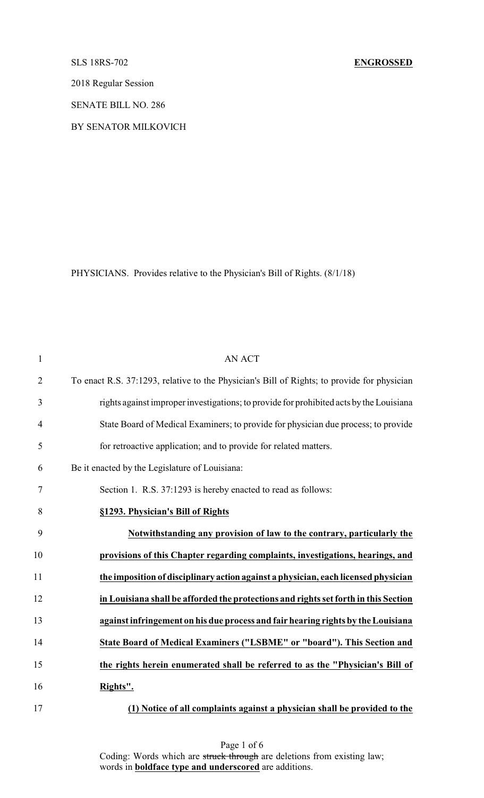2018 Regular Session

SENATE BILL NO. 286

BY SENATOR MILKOVICH

PHYSICIANS. Provides relative to the Physician's Bill of Rights. (8/1/18)

| $\mathbf{1}$   | <b>AN ACT</b>                                                                               |
|----------------|---------------------------------------------------------------------------------------------|
| $\overline{2}$ | To enact R.S. 37:1293, relative to the Physician's Bill of Rights; to provide for physician |
| $\mathfrak{Z}$ | rights against improper investigations; to provide for prohibited acts by the Louisiana     |
| 4              | State Board of Medical Examiners; to provide for physician due process; to provide          |
| 5              | for retroactive application; and to provide for related matters.                            |
| 6              | Be it enacted by the Legislature of Louisiana:                                              |
| $\tau$         | Section 1. R.S. 37:1293 is hereby enacted to read as follows:                               |
| 8              | §1293. Physician's Bill of Rights                                                           |
| 9              | Notwithstanding any provision of law to the contrary, particularly the                      |
| 10             | provisions of this Chapter regarding complaints, investigations, hearings, and              |
| 11             | the imposition of disciplinary action against a physician, each licensed physician          |
| 12             | in Louisiana shall be afforded the protections and rights set forth in this Section         |
| 13             | against infringement on his due process and fair hearing rights by the Louisiana            |
| 14             | State Board of Medical Examiners ("LSBME" or "board"). This Section and                     |
| 15             | the rights herein enumerated shall be referred to as the "Physician's Bill of               |
| 16             | Rights".                                                                                    |
| 17             | (1) Notice of all complaints against a physician shall be provided to the                   |

Page 1 of 6 Coding: Words which are struck through are deletions from existing law; words in **boldface type and underscored** are additions.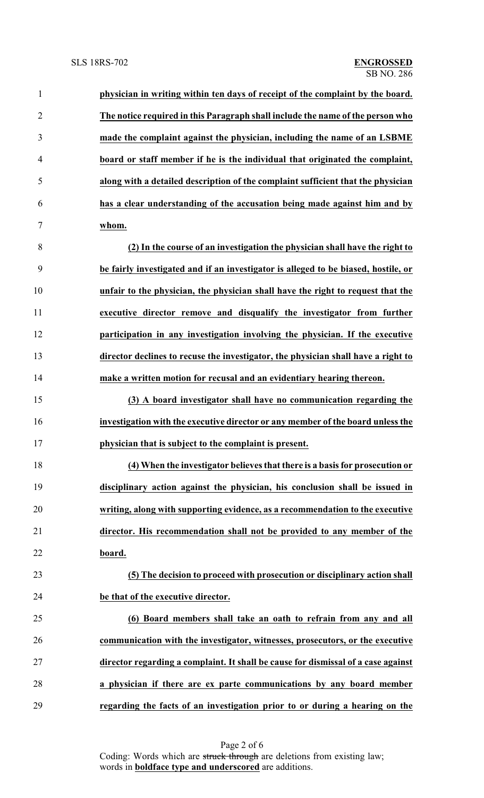| $\overline{2}$<br>The notice required in this Paragraph shall include the name of the person who<br>made the complaint against the physician, including the name of an LSBME<br>3<br>board or staff member if he is the individual that originated the complaint,<br>$\overline{4}$<br>along with a detailed description of the complaint sufficient that the physician<br>5<br>has a clear understanding of the accusation being made against him and by<br>6<br>$\tau$<br>whom.<br>8<br>(2) In the course of an investigation the physician shall have the right to<br>9<br>be fairly investigated and if an investigator is alleged to be biased, hostile, or<br>10<br>unfair to the physician, the physician shall have the right to request that the<br>11<br>executive director remove and disqualify the investigator from further<br>12<br>participation in any investigation involving the physician. If the executive<br>13<br>director declines to recuse the investigator, the physician shall have a right to<br>14<br>make a written motion for recusal and an evidentiary hearing thereon.<br>15<br>(3) A board investigator shall have no communication regarding the<br>16<br>investigation with the executive director or any member of the board unless the<br>17<br>physician that is subject to the complaint is present.<br>18<br>(4) When the investigator believes that there is a basis for prosecution or<br>19<br>disciplinary action against the physician, his conclusion shall be issued in<br>20<br>writing, along with supporting evidence, as a recommendation to the executive<br>director. His recommendation shall not be provided to any member of the<br>21<br>22<br>board.<br>23<br>(5) The decision to proceed with prosecution or disciplinary action shall<br>24<br>be that of the executive director.<br>25<br>(6) Board members shall take an oath to refrain from any and all<br>26<br>communication with the investigator, witnesses, prosecutors, or the executive<br>27<br>director regarding a complaint. It shall be cause for dismissal of a case against | physician in writing within ten days of receipt of the complaint by the board. |
|--------------------------------------------------------------------------------------------------------------------------------------------------------------------------------------------------------------------------------------------------------------------------------------------------------------------------------------------------------------------------------------------------------------------------------------------------------------------------------------------------------------------------------------------------------------------------------------------------------------------------------------------------------------------------------------------------------------------------------------------------------------------------------------------------------------------------------------------------------------------------------------------------------------------------------------------------------------------------------------------------------------------------------------------------------------------------------------------------------------------------------------------------------------------------------------------------------------------------------------------------------------------------------------------------------------------------------------------------------------------------------------------------------------------------------------------------------------------------------------------------------------------------------------------------------------------------------------------------------------------------------------------------------------------------------------------------------------------------------------------------------------------------------------------------------------------------------------------------------------------------------------------------------------------------------------------------------------------------------------------------------------------------------------------------------------------------------------------------------------|--------------------------------------------------------------------------------|
|                                                                                                                                                                                                                                                                                                                                                                                                                                                                                                                                                                                                                                                                                                                                                                                                                                                                                                                                                                                                                                                                                                                                                                                                                                                                                                                                                                                                                                                                                                                                                                                                                                                                                                                                                                                                                                                                                                                                                                                                                                                                                                              |                                                                                |
|                                                                                                                                                                                                                                                                                                                                                                                                                                                                                                                                                                                                                                                                                                                                                                                                                                                                                                                                                                                                                                                                                                                                                                                                                                                                                                                                                                                                                                                                                                                                                                                                                                                                                                                                                                                                                                                                                                                                                                                                                                                                                                              |                                                                                |
|                                                                                                                                                                                                                                                                                                                                                                                                                                                                                                                                                                                                                                                                                                                                                                                                                                                                                                                                                                                                                                                                                                                                                                                                                                                                                                                                                                                                                                                                                                                                                                                                                                                                                                                                                                                                                                                                                                                                                                                                                                                                                                              |                                                                                |
|                                                                                                                                                                                                                                                                                                                                                                                                                                                                                                                                                                                                                                                                                                                                                                                                                                                                                                                                                                                                                                                                                                                                                                                                                                                                                                                                                                                                                                                                                                                                                                                                                                                                                                                                                                                                                                                                                                                                                                                                                                                                                                              |                                                                                |
|                                                                                                                                                                                                                                                                                                                                                                                                                                                                                                                                                                                                                                                                                                                                                                                                                                                                                                                                                                                                                                                                                                                                                                                                                                                                                                                                                                                                                                                                                                                                                                                                                                                                                                                                                                                                                                                                                                                                                                                                                                                                                                              |                                                                                |
|                                                                                                                                                                                                                                                                                                                                                                                                                                                                                                                                                                                                                                                                                                                                                                                                                                                                                                                                                                                                                                                                                                                                                                                                                                                                                                                                                                                                                                                                                                                                                                                                                                                                                                                                                                                                                                                                                                                                                                                                                                                                                                              |                                                                                |
|                                                                                                                                                                                                                                                                                                                                                                                                                                                                                                                                                                                                                                                                                                                                                                                                                                                                                                                                                                                                                                                                                                                                                                                                                                                                                                                                                                                                                                                                                                                                                                                                                                                                                                                                                                                                                                                                                                                                                                                                                                                                                                              |                                                                                |
|                                                                                                                                                                                                                                                                                                                                                                                                                                                                                                                                                                                                                                                                                                                                                                                                                                                                                                                                                                                                                                                                                                                                                                                                                                                                                                                                                                                                                                                                                                                                                                                                                                                                                                                                                                                                                                                                                                                                                                                                                                                                                                              |                                                                                |
|                                                                                                                                                                                                                                                                                                                                                                                                                                                                                                                                                                                                                                                                                                                                                                                                                                                                                                                                                                                                                                                                                                                                                                                                                                                                                                                                                                                                                                                                                                                                                                                                                                                                                                                                                                                                                                                                                                                                                                                                                                                                                                              |                                                                                |
|                                                                                                                                                                                                                                                                                                                                                                                                                                                                                                                                                                                                                                                                                                                                                                                                                                                                                                                                                                                                                                                                                                                                                                                                                                                                                                                                                                                                                                                                                                                                                                                                                                                                                                                                                                                                                                                                                                                                                                                                                                                                                                              |                                                                                |
|                                                                                                                                                                                                                                                                                                                                                                                                                                                                                                                                                                                                                                                                                                                                                                                                                                                                                                                                                                                                                                                                                                                                                                                                                                                                                                                                                                                                                                                                                                                                                                                                                                                                                                                                                                                                                                                                                                                                                                                                                                                                                                              |                                                                                |
|                                                                                                                                                                                                                                                                                                                                                                                                                                                                                                                                                                                                                                                                                                                                                                                                                                                                                                                                                                                                                                                                                                                                                                                                                                                                                                                                                                                                                                                                                                                                                                                                                                                                                                                                                                                                                                                                                                                                                                                                                                                                                                              |                                                                                |
|                                                                                                                                                                                                                                                                                                                                                                                                                                                                                                                                                                                                                                                                                                                                                                                                                                                                                                                                                                                                                                                                                                                                                                                                                                                                                                                                                                                                                                                                                                                                                                                                                                                                                                                                                                                                                                                                                                                                                                                                                                                                                                              |                                                                                |
|                                                                                                                                                                                                                                                                                                                                                                                                                                                                                                                                                                                                                                                                                                                                                                                                                                                                                                                                                                                                                                                                                                                                                                                                                                                                                                                                                                                                                                                                                                                                                                                                                                                                                                                                                                                                                                                                                                                                                                                                                                                                                                              |                                                                                |
|                                                                                                                                                                                                                                                                                                                                                                                                                                                                                                                                                                                                                                                                                                                                                                                                                                                                                                                                                                                                                                                                                                                                                                                                                                                                                                                                                                                                                                                                                                                                                                                                                                                                                                                                                                                                                                                                                                                                                                                                                                                                                                              |                                                                                |
|                                                                                                                                                                                                                                                                                                                                                                                                                                                                                                                                                                                                                                                                                                                                                                                                                                                                                                                                                                                                                                                                                                                                                                                                                                                                                                                                                                                                                                                                                                                                                                                                                                                                                                                                                                                                                                                                                                                                                                                                                                                                                                              |                                                                                |
|                                                                                                                                                                                                                                                                                                                                                                                                                                                                                                                                                                                                                                                                                                                                                                                                                                                                                                                                                                                                                                                                                                                                                                                                                                                                                                                                                                                                                                                                                                                                                                                                                                                                                                                                                                                                                                                                                                                                                                                                                                                                                                              |                                                                                |
|                                                                                                                                                                                                                                                                                                                                                                                                                                                                                                                                                                                                                                                                                                                                                                                                                                                                                                                                                                                                                                                                                                                                                                                                                                                                                                                                                                                                                                                                                                                                                                                                                                                                                                                                                                                                                                                                                                                                                                                                                                                                                                              |                                                                                |
|                                                                                                                                                                                                                                                                                                                                                                                                                                                                                                                                                                                                                                                                                                                                                                                                                                                                                                                                                                                                                                                                                                                                                                                                                                                                                                                                                                                                                                                                                                                                                                                                                                                                                                                                                                                                                                                                                                                                                                                                                                                                                                              |                                                                                |
|                                                                                                                                                                                                                                                                                                                                                                                                                                                                                                                                                                                                                                                                                                                                                                                                                                                                                                                                                                                                                                                                                                                                                                                                                                                                                                                                                                                                                                                                                                                                                                                                                                                                                                                                                                                                                                                                                                                                                                                                                                                                                                              |                                                                                |
|                                                                                                                                                                                                                                                                                                                                                                                                                                                                                                                                                                                                                                                                                                                                                                                                                                                                                                                                                                                                                                                                                                                                                                                                                                                                                                                                                                                                                                                                                                                                                                                                                                                                                                                                                                                                                                                                                                                                                                                                                                                                                                              |                                                                                |
|                                                                                                                                                                                                                                                                                                                                                                                                                                                                                                                                                                                                                                                                                                                                                                                                                                                                                                                                                                                                                                                                                                                                                                                                                                                                                                                                                                                                                                                                                                                                                                                                                                                                                                                                                                                                                                                                                                                                                                                                                                                                                                              |                                                                                |
|                                                                                                                                                                                                                                                                                                                                                                                                                                                                                                                                                                                                                                                                                                                                                                                                                                                                                                                                                                                                                                                                                                                                                                                                                                                                                                                                                                                                                                                                                                                                                                                                                                                                                                                                                                                                                                                                                                                                                                                                                                                                                                              |                                                                                |
|                                                                                                                                                                                                                                                                                                                                                                                                                                                                                                                                                                                                                                                                                                                                                                                                                                                                                                                                                                                                                                                                                                                                                                                                                                                                                                                                                                                                                                                                                                                                                                                                                                                                                                                                                                                                                                                                                                                                                                                                                                                                                                              |                                                                                |
|                                                                                                                                                                                                                                                                                                                                                                                                                                                                                                                                                                                                                                                                                                                                                                                                                                                                                                                                                                                                                                                                                                                                                                                                                                                                                                                                                                                                                                                                                                                                                                                                                                                                                                                                                                                                                                                                                                                                                                                                                                                                                                              |                                                                                |
|                                                                                                                                                                                                                                                                                                                                                                                                                                                                                                                                                                                                                                                                                                                                                                                                                                                                                                                                                                                                                                                                                                                                                                                                                                                                                                                                                                                                                                                                                                                                                                                                                                                                                                                                                                                                                                                                                                                                                                                                                                                                                                              |                                                                                |
| 28<br>a physician if there are ex parte communications by any board member                                                                                                                                                                                                                                                                                                                                                                                                                                                                                                                                                                                                                                                                                                                                                                                                                                                                                                                                                                                                                                                                                                                                                                                                                                                                                                                                                                                                                                                                                                                                                                                                                                                                                                                                                                                                                                                                                                                                                                                                                                   |                                                                                |
| 29<br>regarding the facts of an investigation prior to or during a hearing on the                                                                                                                                                                                                                                                                                                                                                                                                                                                                                                                                                                                                                                                                                                                                                                                                                                                                                                                                                                                                                                                                                                                                                                                                                                                                                                                                                                                                                                                                                                                                                                                                                                                                                                                                                                                                                                                                                                                                                                                                                            |                                                                                |

Page 2 of 6 Coding: Words which are struck through are deletions from existing law; words in **boldface type and underscored** are additions.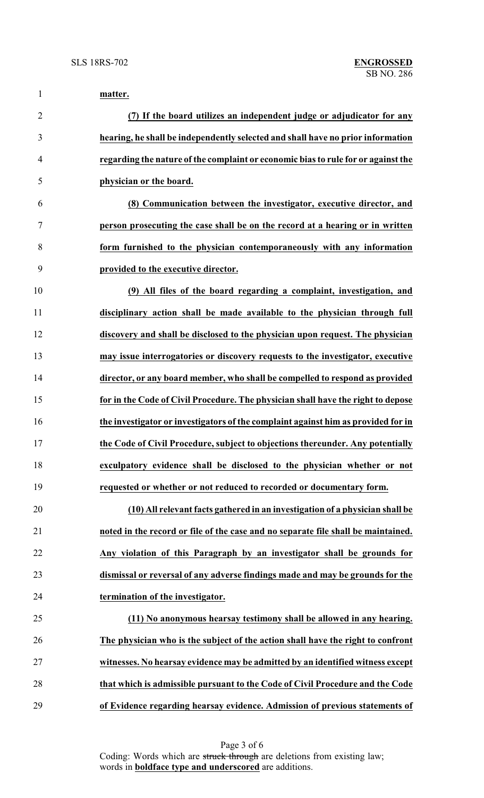| $\mathbf{1}$   | matter.                                                                           |
|----------------|-----------------------------------------------------------------------------------|
| $\overline{2}$ | (7) If the board utilizes an independent judge or adjudicator for any             |
| 3              | hearing, he shall be independently selected and shall have no prior information   |
| 4              | regarding the nature of the complaint or economic bias to rule for or against the |
| 5              | physician or the board.                                                           |
| 6              | (8) Communication between the investigator, executive director, and               |
| 7              | person prosecuting the case shall be on the record at a hearing or in written     |
| 8              | form furnished to the physician contemporaneously with any information            |
| 9              | provided to the executive director.                                               |
| 10             | (9) All files of the board regarding a complaint, investigation, and              |
| 11             | disciplinary action shall be made available to the physician through full         |
| 12             | discovery and shall be disclosed to the physician upon request. The physician     |
| 13             | may issue interrogatories or discovery requests to the investigator, executive    |
| 14             | director, or any board member, who shall be compelled to respond as provided      |
| 15             | for in the Code of Civil Procedure. The physician shall have the right to depose  |
| 16             | the investigator or investigators of the complaint against him as provided for in |
| 17             | the Code of Civil Procedure, subject to objections thereunder. Any potentially    |
| 18             | exculpatory evidence shall be disclosed to the physician whether or not           |
| 19             | requested or whether or not reduced to recorded or documentary form.              |
| 20             | (10) All relevant facts gathered in an investigation of a physician shall be      |
| 21             | noted in the record or file of the case and no separate file shall be maintained. |
| 22             | Any violation of this Paragraph by an investigator shall be grounds for           |
| 23             | dismissal or reversal of any adverse findings made and may be grounds for the     |
| 24             | termination of the investigator.                                                  |
| 25             | (11) No anonymous hearsay testimony shall be allowed in any hearing.              |
| 26             | The physician who is the subject of the action shall have the right to confront   |
| 27             | witnesses. No hearsay evidence may be admitted by an identified witness except    |
| 28             | that which is admissible pursuant to the Code of Civil Procedure and the Code     |
| 29             | of Evidence regarding hearsay evidence. Admission of previous statements of       |

Page 3 of 6 Coding: Words which are struck through are deletions from existing law; words in **boldface type and underscored** are additions.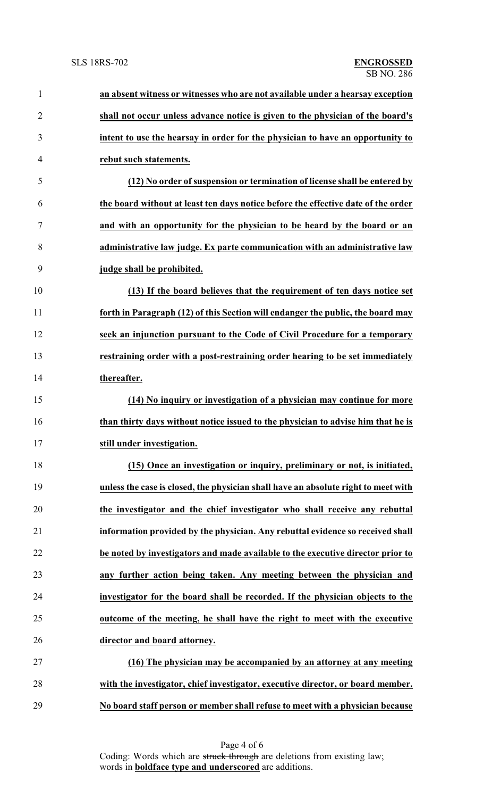| $\mathbf{1}$   | an absent witness or witnesses who are not available under a hearsay exception     |
|----------------|------------------------------------------------------------------------------------|
| $\overline{2}$ | shall not occur unless advance notice is given to the physician of the board's     |
| 3              | intent to use the hearsay in order for the physician to have an opportunity to     |
| $\overline{4}$ | rebut such statements.                                                             |
| 5              | (12) No order of suspension or termination of license shall be entered by          |
| 6              | the board without at least ten days notice before the effective date of the order  |
| 7              | and with an opportunity for the physician to be heard by the board or an           |
| 8              | administrative law judge. Ex parte communication with an administrative law        |
| 9              | judge shall be prohibited.                                                         |
| 10             | (13) If the board believes that the requirement of ten days notice set             |
| 11             | forth in Paragraph (12) of this Section will endanger the public, the board may    |
| 12             | seek an injunction pursuant to the Code of Civil Procedure for a temporary         |
| 13             | restraining order with a post-restraining order hearing to be set immediately      |
| 14             | thereafter.                                                                        |
| 15             | (14) No inquiry or investigation of a physician may continue for more              |
| 16             | than thirty days without notice issued to the physician to advise him that he is   |
| 17             | still under investigation.                                                         |
| 18             | (15) Once an investigation or inquiry, preliminary or not, is initiated,           |
| 19             | unless the case is closed, the physician shall have an absolute right to meet with |
| 20             | the investigator and the chief investigator who shall receive any rebuttal         |
| 21             | information provided by the physician. Any rebuttal evidence so received shall     |
| 22             | be noted by investigators and made available to the executive director prior to    |
| 23             | any further action being taken. Any meeting between the physician and              |
| 24             | investigator for the board shall be recorded. If the physician objects to the      |
| 25             | outcome of the meeting, he shall have the right to meet with the executive         |
| 26             | director and board attorney.                                                       |
| 27             | (16) The physician may be accompanied by an attorney at any meeting                |
| 28             | with the investigator, chief investigator, executive director, or board member.    |
| 29             | No board staff person or member shall refuse to meet with a physician because      |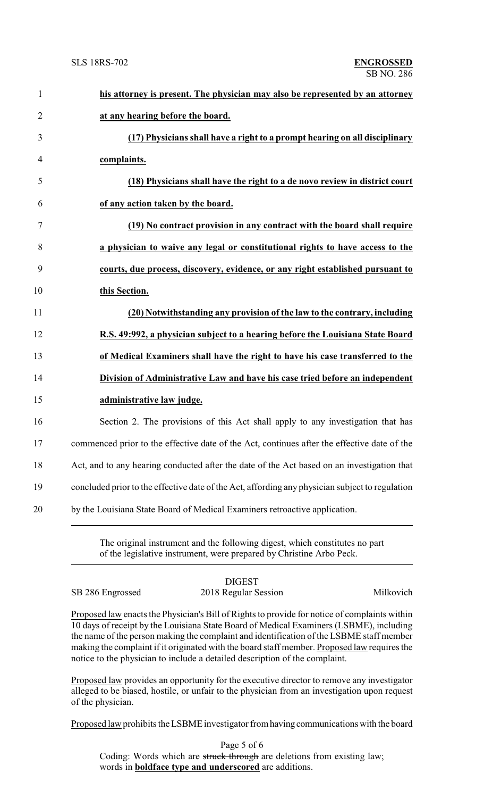| $\mathbf{1}$   | his attorney is present. The physician may also be represented by an attorney                   |
|----------------|-------------------------------------------------------------------------------------------------|
| $\overline{2}$ | at any hearing before the board.                                                                |
| 3              | (17) Physicians shall have a right to a prompt hearing on all disciplinary                      |
| $\overline{4}$ | complaints.                                                                                     |
| 5              | (18) Physicians shall have the right to a de novo review in district court                      |
| 6              | of any action taken by the board.                                                               |
| $\tau$         | (19) No contract provision in any contract with the board shall require                         |
| 8              | a physician to waive any legal or constitutional rights to have access to the                   |
| 9              | courts, due process, discovery, evidence, or any right established pursuant to                  |
| 10             | this Section.                                                                                   |
| 11             | (20) Notwithstanding any provision of the law to the contrary, including                        |
| 12             | R.S. 49:992, a physician subject to a hearing before the Louisiana State Board                  |
| 13             | of Medical Examiners shall have the right to have his case transferred to the                   |
| 14             | Division of Administrative Law and have his case tried before an independent                    |
| 15             | administrative law judge.                                                                       |
| 16             | Section 2. The provisions of this Act shall apply to any investigation that has                 |
| 17             | commenced prior to the effective date of the Act, continues after the effective date of the     |
| 18             | Act, and to any hearing conducted after the date of the Act based on an investigation that      |
| 19             | concluded prior to the effective date of the Act, affording any physician subject to regulation |
| 20             | by the Louisiana State Board of Medical Examiners retroactive application.                      |
|                |                                                                                                 |

The original instrument and the following digest, which constitutes no part of the legislative instrument, were prepared by Christine Arbo Peck.

DIGEST SB 286 Engrossed 2018 Regular Session Milkovich

Proposed law enacts the Physician's Bill of Rights to provide for notice of complaints within 10 days of receipt by the Louisiana State Board of Medical Examiners (LSBME), including the name of the person making the complaint and identification of the LSBME staff member making the complaint if it originated with the board staff member. Proposed law requires the notice to the physician to include a detailed description of the complaint.

Proposed law provides an opportunity for the executive director to remove any investigator alleged to be biased, hostile, or unfair to the physician from an investigation upon request of the physician.

Proposed law prohibits the LSBME investigator fromhaving communications with the board

Page 5 of 6 Coding: Words which are struck through are deletions from existing law; words in **boldface type and underscored** are additions.